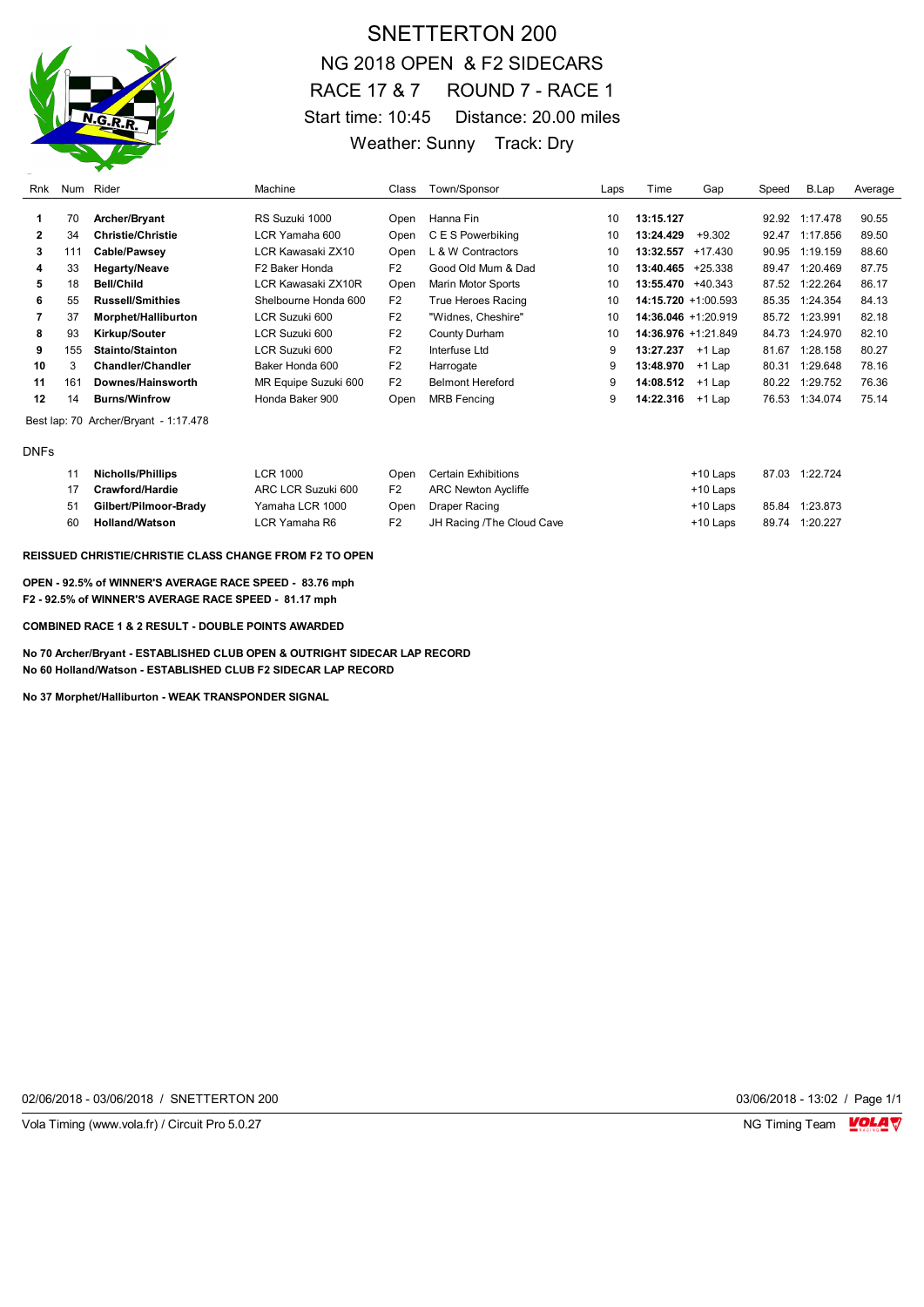

# SNETTERTON 200 NG 2018 OPEN & F2 SIDECARS RACE 17 & 7 ROUND 7 - RACE 1 Start time: 10:45 Distance: 20.00 miles Weather: Sunny Track: Dry

| Rnk | Num                                   | Rider                    | Machine              | Class          | Town/Sponsor              | Laps | Time                   | Gap      | Speed | B.Lap          | Average |
|-----|---------------------------------------|--------------------------|----------------------|----------------|---------------------------|------|------------------------|----------|-------|----------------|---------|
|     | 70                                    | Archer/Bryant            | RS Suzuki 1000       | Open           | Hanna Fin                 | 10   | 13:15.127              |          |       | 92.92 1:17.478 | 90.55   |
| 2   | 34                                    | <b>Christie/Christie</b> | LCR Yamaha 600       | Open           | C E S Powerbiking         | 10   | 13:24.429              | $+9.302$ | 92.47 | 1:17.856       | 89.50   |
| 3   | 111                                   | Cable/Pawsey             | LCR Kawasaki ZX10    | Open           | L & W Contractors         | 10   | $13:32.557 + 17.430$   |          |       | 90.95 1:19.159 | 88.60   |
| 4   | 33                                    | <b>Hegarty/Neave</b>     | F2 Baker Honda       | F <sub>2</sub> | Good Old Mum & Dad        | 10   | $13:40.465 +25.338$    |          | 89.47 | 1:20.469       | 87.75   |
| 5   | 18                                    | Bell/Child               | LCR Kawasaki ZX10R   | Open           | <b>Marin Motor Sports</b> | 10   | $13:55.470 + 40.343$   |          | 87.52 | 1:22.264       | 86.17   |
| 6   | 55                                    | <b>Russell/Smithies</b>  | Shelbourne Honda 600 | F <sub>2</sub> | True Heroes Racing        | 10   | $14:15.720 + 1:00.593$ |          | 85.35 | 1:24.354       | 84.13   |
|     | 37                                    | Morphet/Halliburton      | LCR Suzuki 600       | F <sub>2</sub> | "Widnes, Cheshire"        | 10   | 14:36.046 +1:20.919    |          | 85.72 | 1:23.991       | 82.18   |
| 8   | 93                                    | <b>Kirkup/Souter</b>     | LCR Suzuki 600       | F <sub>2</sub> | County Durham             | 10   | 14:36.976 +1:21.849    |          | 84.73 | 1:24.970       | 82.10   |
| 9   | 155                                   | Stainto/Stainton         | LCR Suzuki 600       | F <sub>2</sub> | Interfuse Ltd             | 9    | 13:27.237 +1 Lap       |          | 81.67 | 1:28.158       | 80.27   |
| 10  | 3                                     | Chandler/Chandler        | Baker Honda 600      | F <sub>2</sub> | Harrogate                 | 9    | 13:48.970              | $+1$ Lap | 80.31 | 1:29.648       | 78.16   |
| 11  | 161                                   | Downes/Hainsworth        | MR Equipe Suzuki 600 | F <sub>2</sub> | <b>Belmont Hereford</b>   | 9    | 14:08.512              | +1 Lap   | 80.22 | 1:29.752       | 76.36   |
| 12  | 14                                    | <b>Burns/Winfrow</b>     | Honda Baker 900      | Open           | <b>MRB Fencing</b>        | 9    | 14:22.316              | $+1$ Lap | 76.53 | 1:34.074       | 75.14   |
|     | Best lap: 70 Archer/Bryant - 1:17.478 |                          |                      |                |                           |      |                        |          |       |                |         |

DNFs

| 11 | <b>Nicholls/Phillips</b> | LCR 1000           |                | Open Certain Exhibitions  | +10 Laps   | 87.03 1:22.724 |
|----|--------------------------|--------------------|----------------|---------------------------|------------|----------------|
|    | 17 Crawford/Hardie       | ARC LCR Suzuki 600 | F <sub>2</sub> | ARC Newton Aycliffe       | $+10$ Laps |                |
|    | 51 Gilbert/Pilmoor-Brady | Yamaha LCR 1000    |                | Open Draper Racing        | +10 Laps   | 85.84 1:23.873 |
| 60 | Holland/Watson           | LCR Yamaha R6      | F <sub>2</sub> | JH Racing /The Cloud Cave | +10 Laps   | 89.74 1:20.227 |

**REISSUED CHRISTIE/CHRISTIE CLASS CHANGE FROM F2 TO OPEN**

**OPEN - 92.5% of WINNER'S AVERAGE RACE SPEED - 83.76 mph F2 - 92.5% of WINNER'S AVERAGE RACE SPEED - 81.17 mph**

**COMBINED RACE 1 & 2 RESULT - DOUBLE POINTS AWARDED** 

**No 70 Archer/Bryant - ESTABLISHED CLUB OPEN & OUTRIGHT SIDECAR LAP RECORD No 60 Holland/Watson - ESTABLISHED CLUB F2 SIDECAR LAP RECORD**

**No 37 Morphet/Halliburton - WEAK TRANSPONDER SIGNAL**

02/06/2018 - 03/06/2018 / SNETTERTON 200 03/06/2018 - 13:02 / Page 1/1

Vola Timing (www.vola.fr) / Circuit Pro 5.0.27 NG Timing Team NG Timing Team NG Timing Team NG Timing Team NG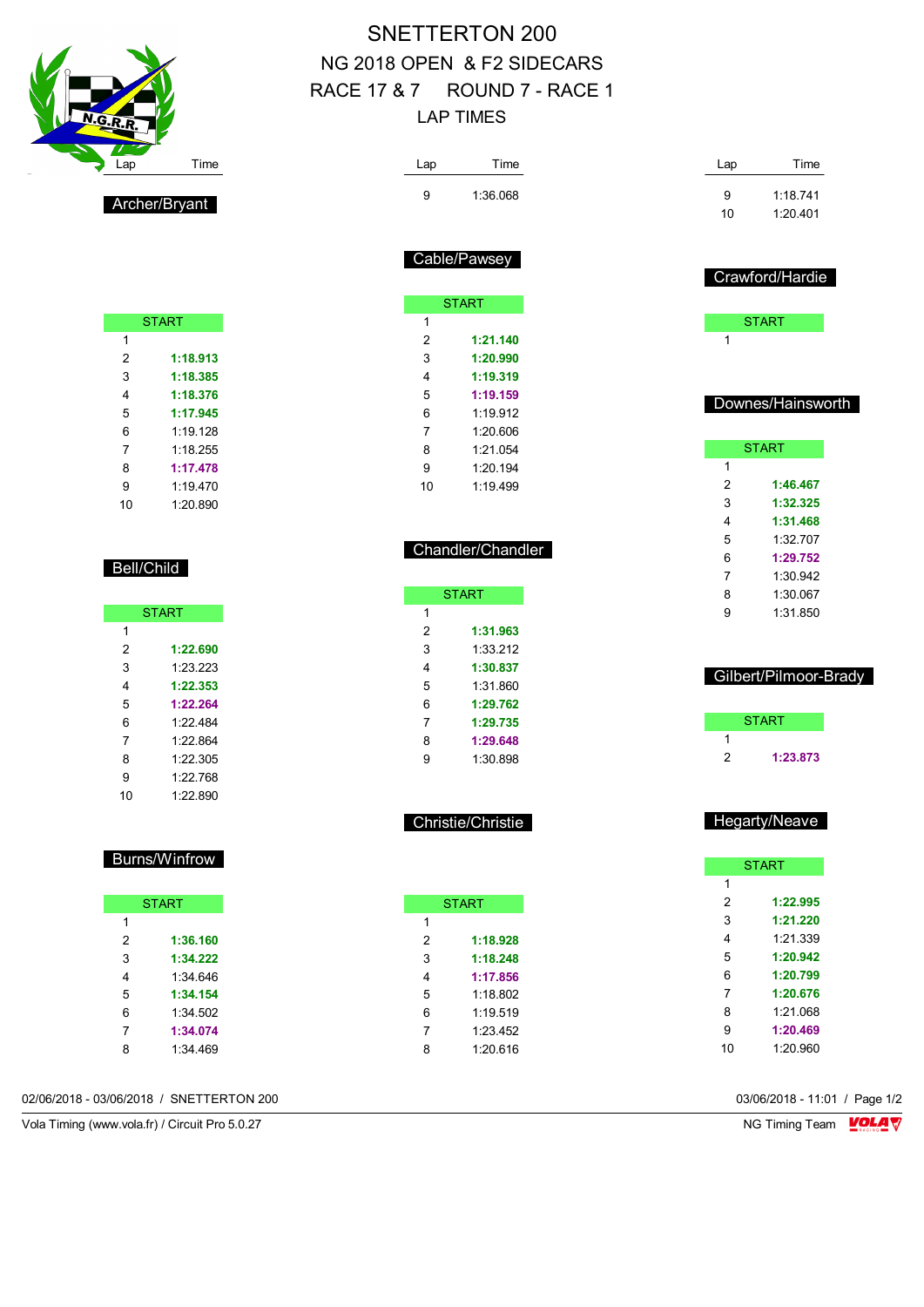| <b>N.G.R.R.</b> |      |
|-----------------|------|
| Lap<br>$\sim$   | Time |
|                 |      |

Bell/Child

START

 **1:22.690** 1:23.223 **1:22.353 1:22.264** 1:22.484 1:22.864 1:22.305 1:22.768 1:22.890

Burns/Winfrow

**START** 

 **1:36.160 1:34.222** 1:34.646 **1:34.154** 1:34.502 **1:34.074** 1:34.469

Archer/Bryant

**START** 

 **1:18.913 1:18.385 1:18.376 1:17.945** 1:19.128 1:18.255 **1:17.478** 1:19.470 1:20.890

# SNETTERTON 200 NG 2018 OPEN & F2 SIDECARS RACE 17 & 7 ROUND 7 - RACE 1 LAP TIMES

| Lap            | Time              |  |
|----------------|-------------------|--|
| 9              | 1:36.068          |  |
|                |                   |  |
|                |                   |  |
|                | Cable/Pawsey      |  |
|                |                   |  |
|                | <b>START</b>      |  |
| 1              |                   |  |
| 2              | 1:21.140          |  |
| 3              | 1:20.990          |  |
| 4              | 1:19.319          |  |
| 5              | 1:19.159          |  |
| 6              | 1:19.912          |  |
| $\overline{7}$ | 1:20.606          |  |
| 8              | 1:21.054          |  |
| 9              | 1:20.194          |  |
| 10             | 1:19.499          |  |
|                |                   |  |
|                |                   |  |
|                | Chandler/Chandler |  |
|                |                   |  |
|                | <b>START</b>      |  |
| 1              |                   |  |
| 2              | 1:31.963          |  |
| 3              | 1:33.212          |  |
| 4              | 1:30.837          |  |

| 2 | 1:31.963 |
|---|----------|
| 3 | 1:33.212 |
| 4 | 1:30.837 |
| 5 | 1:31.860 |
| 6 | 1:29.762 |
| 7 | 1:29.735 |
| 8 | 1:29.648 |
| 9 | 1:30.898 |

Christie/Christie

|   | START    |
|---|----------|
| 1 |          |
| 2 | 1:18.928 |
| 3 | 1:18.248 |
| 4 | 1:17.856 |
| 5 | 1.18B02  |
| 6 | 1.19519  |
| 7 | 1:23 452 |
| 8 | 1.20.616 |
|   |          |

| Lap | Time              |
|-----|-------------------|
| 9   | 1:18 741          |
| 10  | 1.20 401          |
|     |                   |
|     |                   |
|     | Crawford/Hardie   |
|     |                   |
|     | <b>START</b>      |
| 1   |                   |
|     |                   |
|     |                   |
|     | Downes/Hainsworth |
|     |                   |
|     | <b>START</b>      |

| <b>START</b> |          |  |  |  |  |
|--------------|----------|--|--|--|--|
| 1            |          |  |  |  |  |
| 2            | 1:46.467 |  |  |  |  |
| 3            | 1:32.325 |  |  |  |  |
| 4            | 1:31.468 |  |  |  |  |
| 5            | 1:32 707 |  |  |  |  |
| 6            | 1:29.752 |  |  |  |  |
| 7            | 1:30.942 |  |  |  |  |
| 8            | 1:30.067 |  |  |  |  |
| g            | 1:31.850 |  |  |  |  |
|              |          |  |  |  |  |

#### Gilbert/Pilmoor-Brady

|   | <b>START</b> |
|---|--------------|
|   |              |
| 2 | 1:23.873     |

#### Hegarty/Neave

|                | <b>START</b> |
|----------------|--------------|
| 1              |              |
| 2              | 1:22.995     |
| 3              | 1:21.220     |
| 4              | 1:21.339     |
| 5              | 1:20.942     |
| 6              | 1:20.799     |
| $\overline{7}$ | 1:20.676     |
| 8              | 1:21.068     |
| 9              | 1:20.469     |
| 10             | 1:20.960     |

02/06/2018 - 03/06/2018 / SNETTERTON 200 03/06/2018 - 11:01 / Page 1/2

Vola Timing (www.vola.fr) / Circuit Pro 5.0.27 NG Timing Team VOLA V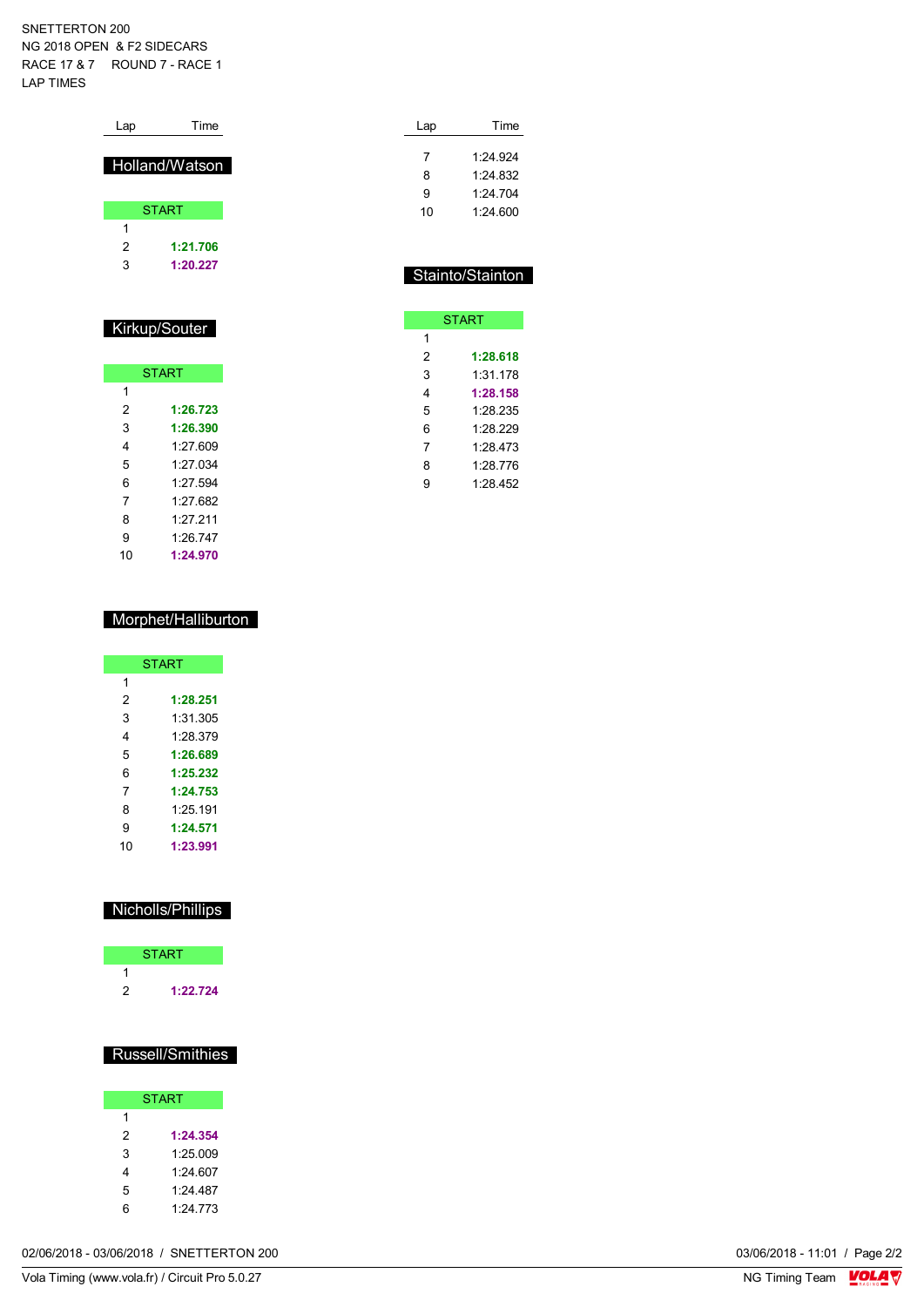#### SNETTERTON 200 NG 2018 OPEN & F2 SIDECARS RACE 17 & 7 ROUND 7 - RACE 1 LAP TIMES

| Lap           | Time           |  |  |  |
|---------------|----------------|--|--|--|
|               | Holland/Watson |  |  |  |
|               | <b>START</b>   |  |  |  |
| 1             |                |  |  |  |
| 2             | 1:21.706       |  |  |  |
| 3             | 1:20.227       |  |  |  |
|               |                |  |  |  |
|               |                |  |  |  |
| Kirkup/Souter |                |  |  |  |
|               |                |  |  |  |
|               | <b>START</b>   |  |  |  |

|    | <b>START</b> |
|----|--------------|
| 1  |              |
| 2  | 1:26.723     |
| 3  | 1:26.390     |
| 4  | 1.27609      |
| 5  | 1.27034      |
| 6  | 1.27 594     |
| 7  | 1.27682      |
| 8  | 1.27 211     |
| 9  | 1.26 747     |
| 10 | 1:24.970     |

#### Morphet/Halliburton

|    | START    |  |  |  |
|----|----------|--|--|--|
| 1  |          |  |  |  |
| 2  | 1:28.251 |  |  |  |
| 3  | 1:31:305 |  |  |  |
| 4  | 1.28.379 |  |  |  |
| 5  | 1:26.689 |  |  |  |
| 6  | 1:25.232 |  |  |  |
| 7  | 1:24.753 |  |  |  |
| 8  | 1.25191  |  |  |  |
| 9  | 1:24.571 |  |  |  |
| 10 | 1:23.991 |  |  |  |

### Nicholls/Phillips

|   | <b>START</b> |  |
|---|--------------|--|
|   |              |  |
| 2 | 1:22.724     |  |

### Russell/Smithies

|     | <b>START</b> |
|-----|--------------|
| 1   |              |
| 2   | 1:24.354     |
| 3   | 1:25.009     |
| 4   | 1.24 607     |
| 5   | 1.24 487     |
| ี่ค | 1.24 773     |

| 02/06/2018 - 03/06/2018 /<br>03/06/2018 - 11:01 /<br>SNETTERTON 200 | Page $2/2$ |
|---------------------------------------------------------------------|------------|
|---------------------------------------------------------------------|------------|

| Lap | Time     |
|-----|----------|
| 7   | 1.24.924 |
| 8   | 1.24 832 |
| 9   | 1:24.704 |
| 10  | 1.24600  |

### Stainto/Stainton

| <b>START</b> |          |  |  |  |
|--------------|----------|--|--|--|
| 1            |          |  |  |  |
| 2            | 1:28.618 |  |  |  |
| 3            | 1:31 178 |  |  |  |
| 4            | 1:28.158 |  |  |  |
| 5            | 1:28.235 |  |  |  |
| 6            | 1.28.229 |  |  |  |
| 7            | 1:28.473 |  |  |  |
| 8            | 1:28.776 |  |  |  |
| g            | 1.28 452 |  |  |  |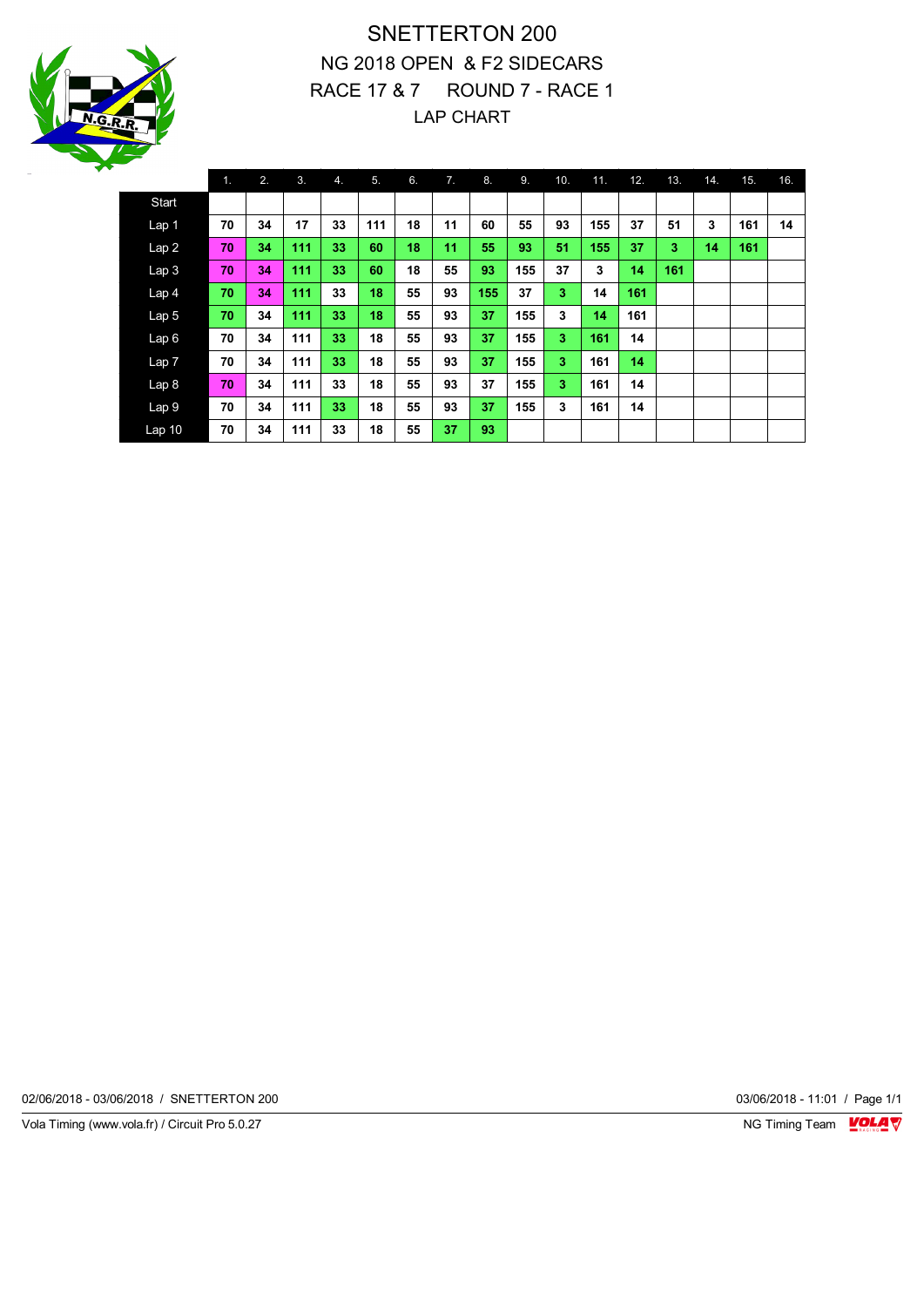

# SNETTERTON 200 NG 2018 OPEN & F2 SIDECARS RACE 17 & 7 ROUND 7 - RACE 1 LAP CHART

|                   | 1. | 2. | 3.  | 4. | 5.  | 6. | 7. | 8.  | 9.  | 10. | 11. | 12. | 13. | 14. | 15. | 16. |
|-------------------|----|----|-----|----|-----|----|----|-----|-----|-----|-----|-----|-----|-----|-----|-----|
| Start             |    |    |     |    |     |    |    |     |     |     |     |     |     |     |     |     |
| Lap <sub>1</sub>  | 70 | 34 | 17  | 33 | 111 | 18 | 11 | 60  | 55  | 93  | 155 | 37  | 51  | 3   | 161 | 14  |
| Lap2              | 70 | 34 | 111 | 33 | 60  | 18 | 11 | 55  | 93  | 51  | 155 | 37  | 3   | 14  | 161 |     |
| Lap <sub>3</sub>  | 70 | 34 | 111 | 33 | 60  | 18 | 55 | 93  | 155 | 37  | 3   | 14  | 161 |     |     |     |
| Lap <sub>4</sub>  | 70 | 34 | 111 | 33 | 18  | 55 | 93 | 155 | 37  | 3   | 14  | 161 |     |     |     |     |
| Lap <sub>5</sub>  | 70 | 34 | 111 | 33 | 18  | 55 | 93 | 37  | 155 | 3   | 14  | 161 |     |     |     |     |
| Lap6              | 70 | 34 | 111 | 33 | 18  | 55 | 93 | 37  | 155 | 3   | 161 | 14  |     |     |     |     |
| Lap7              | 70 | 34 | 111 | 33 | 18  | 55 | 93 | 37  | 155 | 3   | 161 | 14  |     |     |     |     |
| Lap <sub>8</sub>  | 70 | 34 | 111 | 33 | 18  | 55 | 93 | 37  | 155 | 3   | 161 | 14  |     |     |     |     |
| Lap 9             | 70 | 34 | 111 | 33 | 18  | 55 | 93 | 37  | 155 | 3   | 161 | 14  |     |     |     |     |
| Lap <sub>10</sub> | 70 | 34 | 111 | 33 | 18  | 55 | 37 | 93  |     |     |     |     |     |     |     |     |

02/06/2018 - 03/06/2018 / SNETTERTON 200 03/06/2018 - 11:01 / Page 1/1

Vola Timing (www.vola.fr) / Circuit Pro 5.0.27 **NG Timing Team Monet Account Property**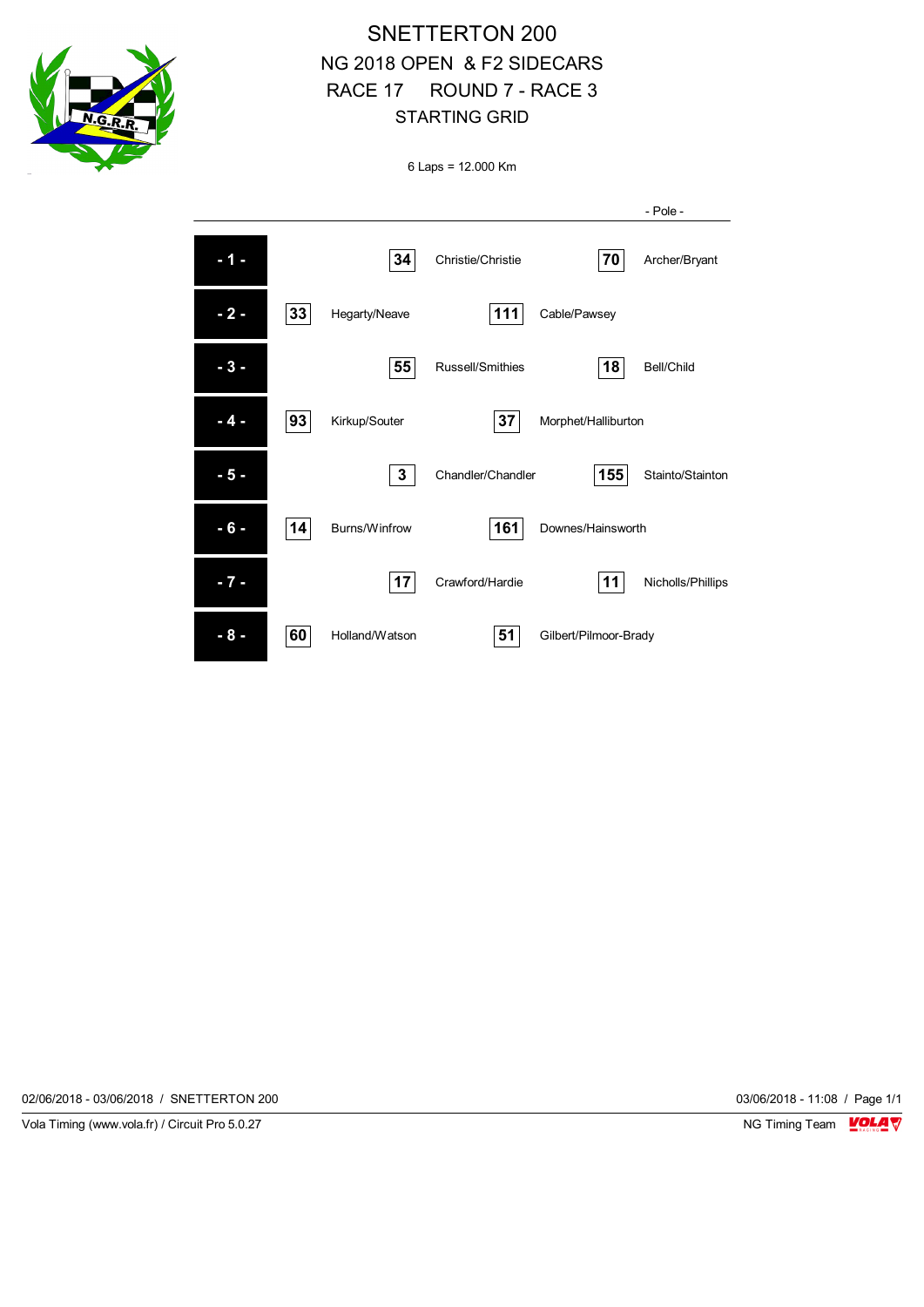

# SNETTERTON 200 NG 2018 OPEN & F2 SIDECARS RACE 17 ROUND 7 - RACE 3 STARTING GRID

6 Laps = 12.000 Km

|       |    |                |                   |                       | - Pole -          |
|-------|----|----------------|-------------------|-----------------------|-------------------|
| - 1   |    | 34             | Christie/Christie | 70                    | Archer/Bryant     |
| $-2-$ | 33 | Hegarty/Neave  | 111               | Cable/Pawsey          |                   |
| - 3 - |    | 55             | Russell/Smithies  | 18                    | Bell/Child        |
| - 4 - | 93 | Kirkup/Souter  | 37                | Morphet/Halliburton   |                   |
| - 5 - |    | 3              | Chandler/Chandler | 155                   | Stainto/Stainton  |
| - 6 - | 14 | Burns/Winfrow  | 161               | Downes/Hainsworth     |                   |
| $-7-$ |    | 17             | Crawford/Hardie   | 11                    | Nicholls/Phillips |
| - 8 - | 60 | Holland/Watson | 51                | Gilbert/Pilmoor-Brady |                   |

02/06/2018 - 03/06/2018 / SNETTERTON 200 03/06/2018 - 11:08 / Page 1/1

Vola Timing (www.vola.fr) / Circuit Pro 5.0.27 **NG Timing Team Monet Account Property**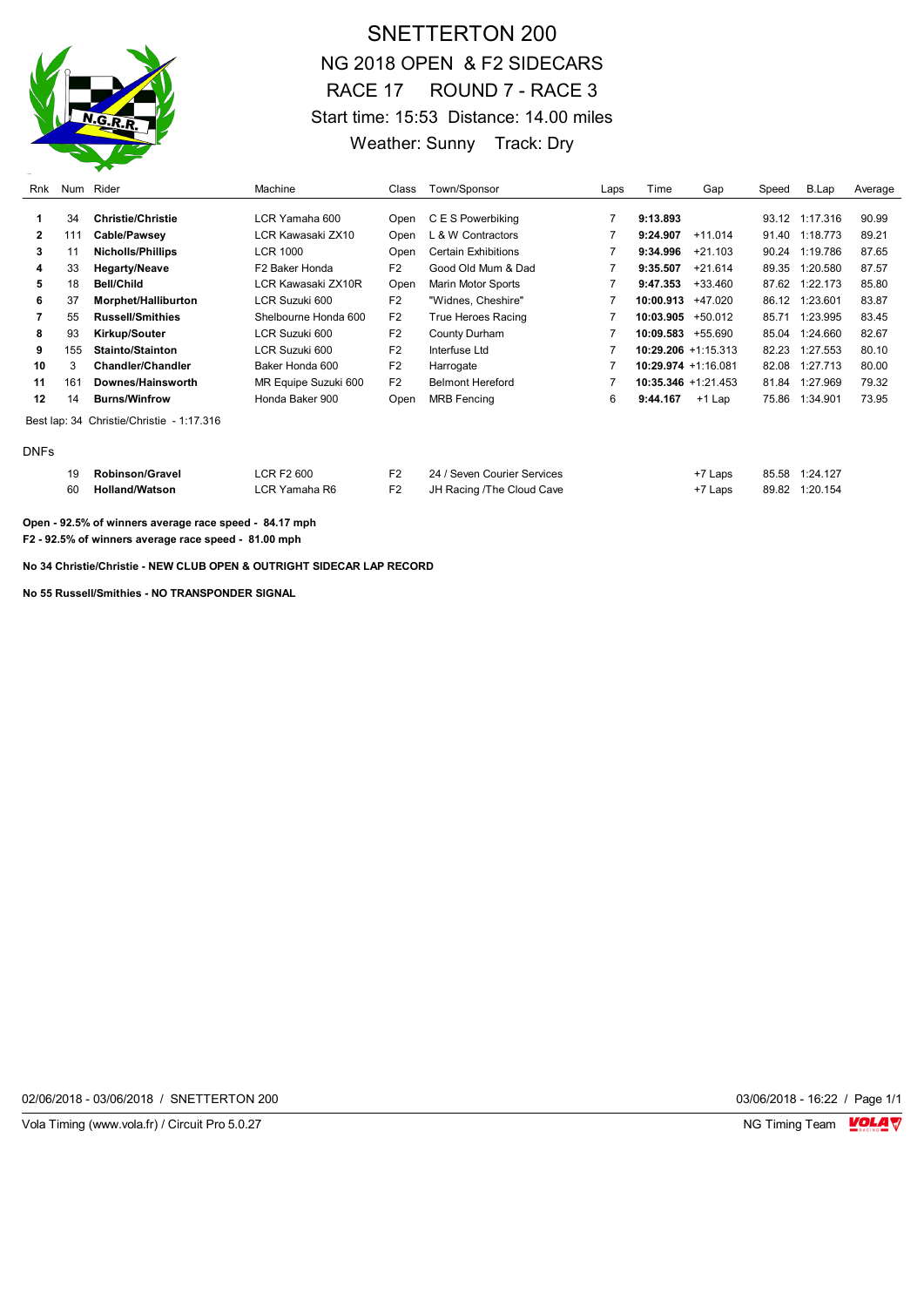

# SNETTERTON 200 NG 2018 OPEN & F2 SIDECARS RACE 17 ROUND 7 - RACE 3 Start time: 15:53 Distance: 14.00 miles Weather: Sunny Track: Dry

| Rnk          |     | Num Rider                                 | Machine              | Class          | Town/Sponsor                | Laps | Time                   | Gap       | Speed | B.Lap          | Average |
|--------------|-----|-------------------------------------------|----------------------|----------------|-----------------------------|------|------------------------|-----------|-------|----------------|---------|
|              | 34  | <b>Christie/Christie</b>                  | LCR Yamaha 600       | Open           | C E S Powerbiking           | 7    | 9:13.893               |           |       | 93.12 1:17.316 | 90.99   |
| $\mathbf{2}$ | 111 | Cable/Pawsey                              | LCR Kawasaki ZX10    | Open           | . & W Contractors           |      | 9:24.907               | $+11.014$ | 91.40 | 1:18.773       | 89.21   |
| 3            | 11  | <b>Nicholls/Phillips</b>                  | LCR 1000             | Open           | <b>Certain Exhibitions</b>  |      | 9:34.996               | $+21.103$ | 90.24 | 1:19.786       | 87.65   |
| 4            | 33  | <b>Hegarty/Neave</b>                      | F2 Baker Honda       | F <sub>2</sub> | Good Old Mum & Dad          |      | 9:35.507               | $+21.614$ | 89.35 | 1:20.580       | 87.57   |
| 5            | 18  | <b>Bell/Child</b>                         | LCR Kawasaki ZX10R   | Open           | <b>Marin Motor Sports</b>   |      | 9:47.353               | +33.460   | 87.62 | 1:22.173       | 85.80   |
| 6            | 37  | Morphet/Halliburton                       | LCR Suzuki 600       | F <sub>2</sub> | "Widnes, Cheshire"          |      | 10:00.913              | +47.020   | 86.12 | 1:23.601       | 83.87   |
|              | 55  | <b>Russell/Smithies</b>                   | Shelbourne Honda 600 | F <sub>2</sub> | True Heroes Racing          |      | 10:03.905              | $+50.012$ | 85.71 | 1:23.995       | 83.45   |
| 8            | 93  | <b>Kirkup/Souter</b>                      | LCR Suzuki 600       | F <sub>2</sub> | County Durham               |      | 10:09.583              | +55.690   | 85.04 | 1:24.660       | 82.67   |
| 9            | 155 | Stainto/Stainton                          | LCR Suzuki 600       | F <sub>2</sub> | Interfuse Ltd               |      | $10:29.206 +1:15.313$  |           | 82.23 | 1:27.553       | 80.10   |
| 10           | 3   | <b>Chandler/Chandler</b>                  | Baker Honda 600      | F <sub>2</sub> | Harrogate                   |      | 10:29.974 +1:16.081    |           | 82.08 | 1:27.713       | 80.00   |
| 11           | 161 | Downes/Hainsworth                         | MR Equipe Suzuki 600 | F <sub>2</sub> | <b>Belmont Hereford</b>     |      | $10:35.346 + 1:21.453$ |           | 81.84 | 1:27.969       | 79.32   |
| 12           | 14  | <b>Burns/Winfrow</b>                      | Honda Baker 900      | Open           | <b>MRB</b> Fencing          | 6    | 9:44.167               | $+1$ Lap  | 75.86 | 1:34.901       | 73.95   |
|              |     | Best lap: 34 Christie/Christie - 1:17.316 |                      |                |                             |      |                        |           |       |                |         |
| <b>DNFs</b>  |     |                                           |                      |                |                             |      |                        |           |       |                |         |
|              | 19  | <b>Robinson/Gravel</b>                    | <b>LCR F2 600</b>    | F <sub>2</sub> | 24 / Seven Courier Services |      |                        | +7 Laps   | 85.58 | 1:24.127       |         |

60 **Holland/Watson** LCR Yamaha R6 F2 JH Racing /The Cloud Cave +7 Laps 89.82 1:20.154

**Open - 92.5% of winners average race speed - 84.17 mph F2 - 92.5% of winners average race speed - 81.00 mph**

**No 34 Christie/Christie - NEW CLUB OPEN & OUTRIGHT SIDECAR LAP RECORD**

**No 55 Russell/Smithies - NO TRANSPONDER SIGNAL**

02/06/2018 - 03/06/2018 / SNETTERTON 200 03/06/2018 - 16:22 / Page 1/1

Vola Timing (www.vola.fr) / Circuit Pro 5.0.27 NG Timing Team NG Timing Team NG Timing Team NG Timing Team NG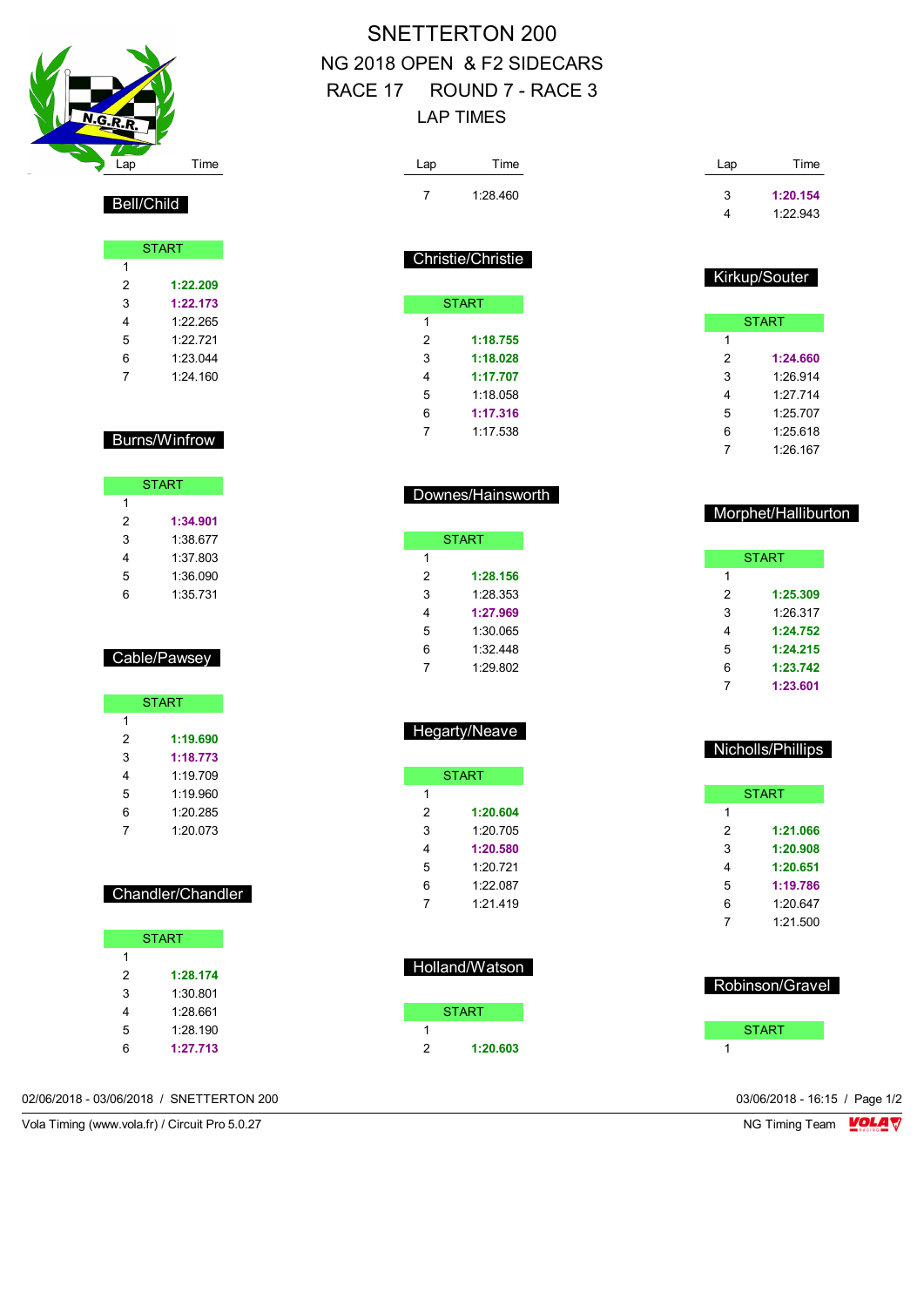

### Bell/Child

|   | <b>START</b> |
|---|--------------|
| 1 |              |
| 2 | 1:22.209     |
| 3 | 1:22.173     |
| 4 | 1.22.265     |
| 5 | 1.22721      |
| 6 | 1:23.044     |
| 7 | 1.24.160     |

#### Burns/Winfrow

|    | <b>START</b> |
|----|--------------|
| 1  |              |
| 2  | 1:34.901     |
| 3  | 1:38.677     |
| 4  | 1:37.803     |
| 5  | 1:36.090     |
| ิค | 1:35.731     |

### Cable/Pawsey

|   | <b>START</b> |
|---|--------------|
| 1 |              |
| 2 | 1:19.690     |
| 3 | 1:18.773     |
| 4 | 1:19.709     |
| 5 | 1:19.960     |
| 6 | 1:20.285     |
|   | 1:20.073     |

#### Chandler/Chandler

| <b>START</b> |          |  |  |  |  |  |  |
|--------------|----------|--|--|--|--|--|--|
| 1            |          |  |  |  |  |  |  |
| 2            | 1:28.174 |  |  |  |  |  |  |
| 3            | 1:30.801 |  |  |  |  |  |  |
| 4            | 1:28.661 |  |  |  |  |  |  |
| 5            | 1:28.190 |  |  |  |  |  |  |
| հ            | 1:27.713 |  |  |  |  |  |  |

# SNETTERTON 200 NG 2018 OPEN & F2 SIDECARS RACE 17 ROUND 7 - RACE 3 LAP TIMES

| Lap            | Time                     | Lap                 | Time     |
|----------------|--------------------------|---------------------|----------|
| 7              | 1:28.460                 | 3                   | 1:20.154 |
|                |                          | 4                   | 1:22.943 |
|                |                          |                     |          |
|                | <b>Christie/Christie</b> |                     |          |
|                |                          | Kirkup/Souter       |          |
|                | <b>START</b>             |                     |          |
| 1              |                          | <b>START</b>        |          |
| $\overline{2}$ | 1:18.755                 | $\mathbf{1}$        |          |
| 3              | 1:18.028                 | 2                   | 1:24.660 |
| 4              | 1:17.707                 | 3                   | 1:26.914 |
| 5              | 1:18.058                 | 4                   | 1:27.714 |
| 6              | 1:17.316                 | 5                   | 1:25.707 |
| $\overline{7}$ | 1:17.538                 | 6                   | 1:25.618 |
|                |                          | 7                   | 1:26.167 |
|                |                          |                     |          |
|                | Downes/Hainsworth        |                     |          |
|                |                          | Morphet/Halliburton |          |
|                | <b>START</b>             |                     |          |
| 1              |                          | <b>START</b>        |          |
| 2              | 1:28.156                 | $\mathbf{1}$        |          |
| 3              | 1:28.353                 | 2                   | 1:25.309 |
| 4              | 1:27.969                 | 3                   | 1:26.317 |

# Hegarty/Neave

 1:30.065 1:32.448 1:29.802

|               | START    |
|---------------|----------|
| 1             |          |
| $\mathcal{P}$ | 1:20.604 |
| 3             | 1.20 705 |
| 4             | 1:20.580 |
| 5             | 1.20 721 |
| 6             | 1:22.087 |
| 7             | 1:21.419 |

| Holland/Watson |  |
|----------------|--|
| <b>START</b>   |  |
|                |  |

|   | <b>START</b> |  |
|---|--------------|--|
|   |              |  |
| 2 | 1:20.603     |  |

#### Nicholls/Phillips

 **1:24.752 1:24.215 1:23.742 1:23.601**

| <b>START</b> |          |  |  |  |  |  |  |
|--------------|----------|--|--|--|--|--|--|
| 1            |          |  |  |  |  |  |  |
| 2            | 1:21.066 |  |  |  |  |  |  |
| 3            | 1:20.908 |  |  |  |  |  |  |
| 4            | 1:20.651 |  |  |  |  |  |  |
| 5            | 1:19.786 |  |  |  |  |  |  |
| 6            | 1:20.647 |  |  |  |  |  |  |
| 7            | 1:21.500 |  |  |  |  |  |  |
|              |          |  |  |  |  |  |  |

| Robinson/Gravel |  |
|-----------------|--|
| <b>START</b>    |  |
|                 |  |

02/06/2018 - 03/06/2018 / SNETTERTON 200 03/06/2018 - 16:15 / Page 1/2

Vola Timing (www.vola.fr) / Circuit Pro 5.0.27 NG Timing Team NG Timing Team NG Timing Team NG Timing Team NG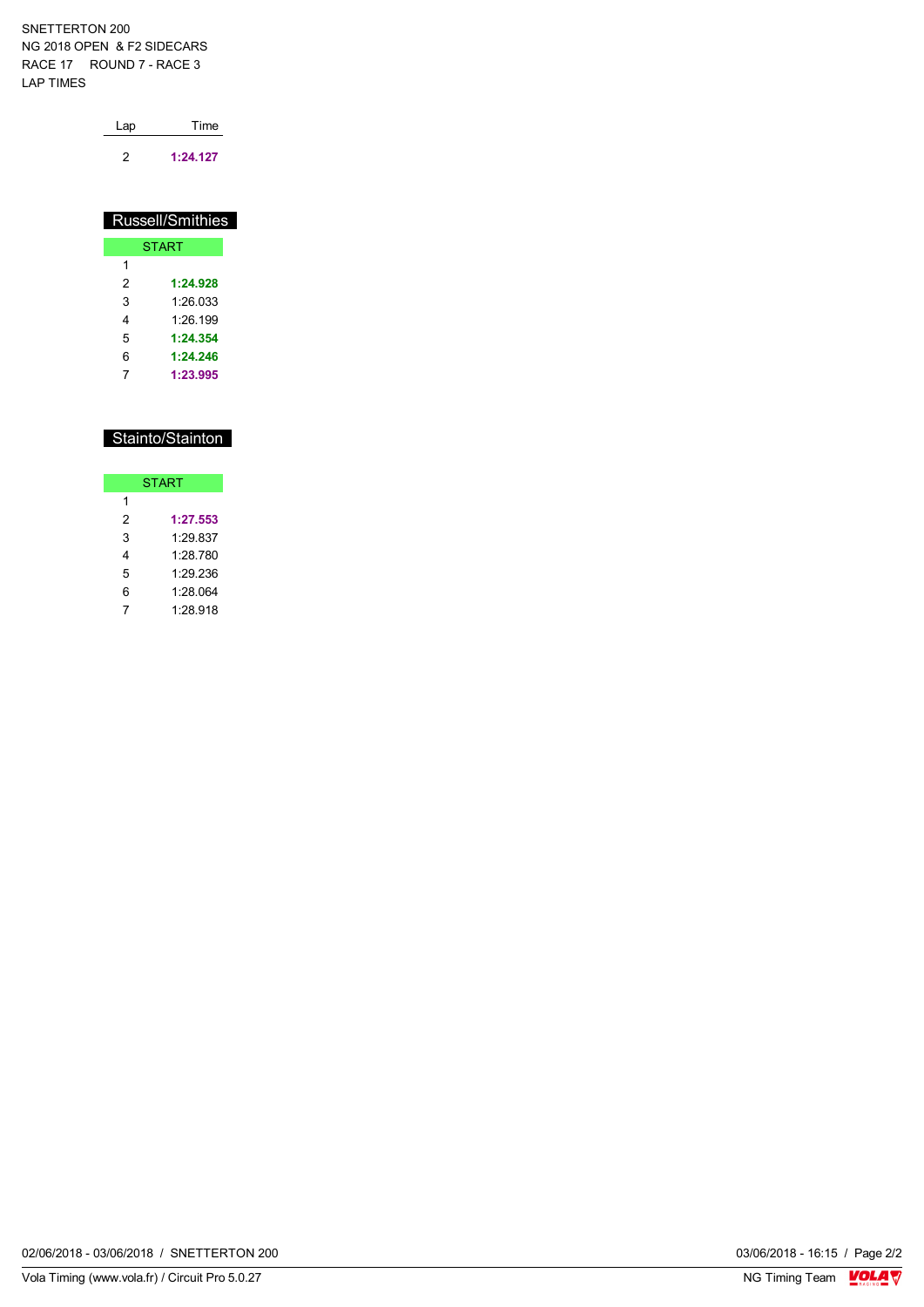SNETTERTON 200 NG 2018 OPEN & F2 SIDECARS RACE 17 ROUND 7 - RACE 3 LAP TIMES

| Lap | Time     |  |  |  |  |
|-----|----------|--|--|--|--|
| 2   | 1:24.127 |  |  |  |  |

| Russell/Smithies |          |  |  |  |  |  |  |  |
|------------------|----------|--|--|--|--|--|--|--|
| <b>START</b>     |          |  |  |  |  |  |  |  |
| 1                |          |  |  |  |  |  |  |  |
| 2                | 1:24.928 |  |  |  |  |  |  |  |
| 3                | 1.26 033 |  |  |  |  |  |  |  |
| 4                | 1.26.199 |  |  |  |  |  |  |  |
| 5                | 1:24.354 |  |  |  |  |  |  |  |
| 6                | 1:24.246 |  |  |  |  |  |  |  |
|                  | 1:23.995 |  |  |  |  |  |  |  |

|   | Stainto/Stainton |
|---|------------------|
|   |                  |
|   | <b>START</b>     |
| 1 |                  |
| 2 | 1:27.553         |
| 3 | 1:29.837         |
| 4 | 1.28 780         |
| 5 | 1.29 236         |
| 6 | 1:28.064         |

7 1:28.918

02/06/2018 - 03/06/2018 / SNETTERTON 200